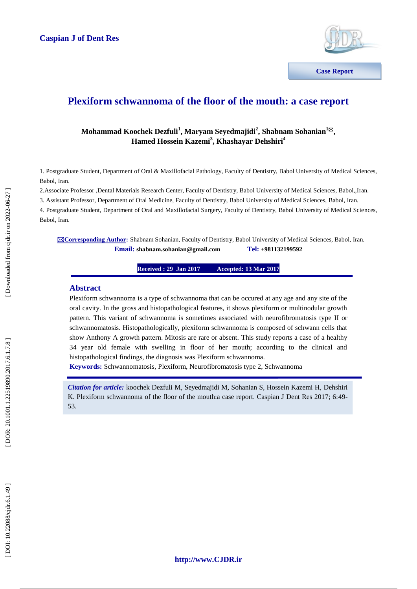

**Communications**

## **Plexiform schwannoma of the floor of the mouth: a case report**

### $\bf{M}$ ohammad Koochek Dezfuli<sup>1</sup>, Maryam Seyedmajidi<sup>2</sup>, Shabnam Sohanian<sup>1⊠</sup>, **Hamed Hossein Kazemi 3 , Khashayar Dehshiri 4**

1. Postgraduate Student, Department of Oral & Maxillofacial Pathology, Faculty of Dentistry, Babol University of Medical Sciences, Babol, Iran.

2.Associate Professor ,Dental Materials Research Center, Faculty of Dentistry, Babol University of Medical Sciences, Babol,,Iran.

3. Assistant Professor, Department of Oral Medicine, Faculty of Dentistry, Babol University of Medical Sciences, Babol, Iran.

4. Postgraduate Student, Department of Oral and Maxillofacial Surgery, Faculty of Dentistry, Babol University of Medical Sciences, Babol, Iran.

**Corresponding Author :** Shabnam Sohanian, Faculty of Dentistry, Babol University of Medical Sciences, Babol, Iran.  $\n **Email:** shabnam.sohanian@gmail.com\n$ **+981132199592**

> **Received : 29 Jan 201 7 Accepted: 13 Mar 2017**

### **Abstract**

Plexiform schwannoma is a type of schwannoma that can be occured at any age and any site of the oral cavity. In the gross and histopathological features, it shows plexiform or multinodular growth pattern. This variant of schwannoma is sometimes associated with neurofibromatosis type II or schwannomatosis. Histopathologically, plexiform schwannoma is composed of schwann cells that show Anthony A growth pattern. Mitosis are rare or absent. This study reports a case of a healthy 34 year old female with swelling in floor of her mouth; according to the clinical and histopathological findings, the diagnosis was Plexiform schwannoma.

**Keywords:** Schwannomatosis, Plexiform, Neur[ofibromatosis](http://forum.iransalamat.com/%D8%B3%D8%B1%D8%B7%D8%A7%D9%86%D9%87%D8%A7%DB%8C-%D8%AF%D8%B3%D8%AA%DA%AF%D8%A7%D9%87-%D9%85%D8%BA%D8%B2-%D9%88-%D8%A7%D8%B9%D8%B5%D8%A7%D8%A8-1295/%D8%AA%D9%88%D9%85%D9%88%D8%B1-%D9%87%D8%A7%DB%8C-%D9%85%D8%BA%D8%B2-%D9%88-%D8%A7%D8%B9%D8%B5%D8%A7%D8%A8-%D9%86%D9%88%D8%B1%D9%88-%D9%81%DB%8C%D8%B1%D9%88%D9%85-neurofibromatosis-10972/) type 2, Schwannoma

*Citation for article:* koochek Dezfuli M, Seyedmajidi M, Sohanian S, Hossein Kazemi H, Dehshiri K. Plexiform schwannoma of the floor of the mouth:a case report. Caspian J Dent Res 2017; 6:49 - 53.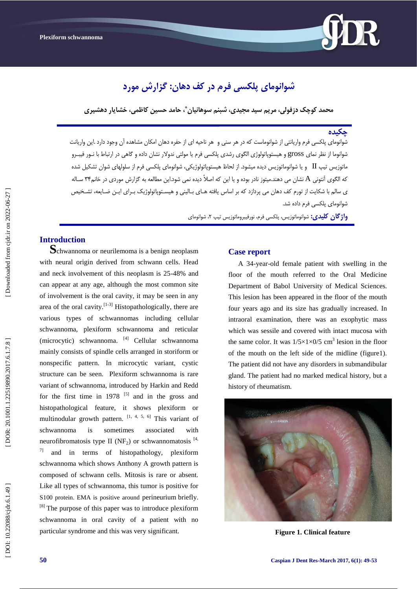

# **شَاًَهای پلکسی فرم در کف دهاى: گسارش هَرد**

**هحود کَچک دزفَلی، هرین سید هجیدی، شبٌن سَهاًیاى ، حاهد حسیي کاظوی، خشایار دهشیری \***

#### **چکیدُ**

شوانومای پلکسی فرم واریانتی از شوانوماست که در هر سنی و هر ناحیه ای از حفره دهان امکان مشاهده ان وجود دارد .این واریانت شوانوما از نظر نمای gross و هیستوپاتولوژی الگوی رشدی پلکسی فرم یا مولتی ندولار نشان داده و گاهی در ارتباط با نـور فیبـرو ماتوزیس تیپ  $\rm{II}$  و یا شوانوماتوزیس دیده میشود. از لحاظ هیستوپاتولوژیکی، شوانومای پلکسی فرم از سلولهای شوان تشکیل شده که الگوی آنتونی A نشان می دهند.میتوز نادر بوده و یا این که اصلاً دیده نمی شود.این مطالعه به گزارش موردی در خانم۳۴ سـاله ی سالم با شکایت از تورم کف دهان می پردازد که بر اساس یافته هـای بـالینی و هیسـتوپاتولوژیک بـرای ایـن ضـایعه، تشـخیص شوانومای پلکسی فرم داده شد.

> **واژگان گلیدی:** شوانوماتوزیس، پلکسی فرم، نورفیبروماتوزیس تیپ ۲، شوانومای ،

**Introduction**<br>**S**chwannoma or neurilemoma is a benign neoplasm with neural origin derived from schwann cells. Head and neck involvement of this neoplasm is 25 -48% and can appear at any age, although the most common site of involvement is the oral cavity, it may be seen in any area of the oral cavity.  $[1-3]$  Histopathologically, there are various types of schwannomas including cellular schwannoma, plexiform schwannoma and reticular (microcytic) schwannoma. [4] Cellular schwannoma mainly consists of spindle cells arranged in storiform or nonspecific pattern. In microcytic variant, cystic structure can be seen. Plexiform schwannoma is rare variant of schwannoma, introduced by Harkin and Redd for the first time in  $1978$  <sup>[5]</sup> and in the gross and histopathological feature, it shows plexiform or multinodular growth pattern.  $[1, 4, 5, 6]$  This variant of schwannoma is sometimes associated with neur[ofibromatosis](http://forum.iransalamat.com/%D8%B3%D8%B1%D8%B7%D8%A7%D9%86%D9%87%D8%A7%DB%8C-%D8%AF%D8%B3%D8%AA%DA%AF%D8%A7%D9%87-%D9%85%D8%BA%D8%B2-%D9%88-%D8%A7%D8%B9%D8%B5%D8%A7%D8%A8-1295/%D8%AA%D9%88%D9%85%D9%88%D8%B1-%D9%87%D8%A7%DB%8C-%D9%85%D8%BA%D8%B2-%D9%88-%D8%A7%D8%B9%D8%B5%D8%A7%D8%A8-%D9%86%D9%88%D8%B1%D9%88-%D9%81%DB%8C%D8%B1%D9%88%D9%85-neurofibromatosis-10972/) type II (NF<sub>2</sub>) or schwannomatosis  $^{[4]}$ ,  $7$ ] and in terms of histopathology, plexiform schwannoma which shows Anthony A growth pattern is composed of schwann cells. Mitosis is rare or absent. Like all types of schwannoma, this tumor is positive for S100 protein. EMA is positive around perineurium briefly.  $[8]$  The purpose of this paper was to introduce plexiform schwannoma in oral cavity of a patient with no particular syndrome and this was very significant.

#### **Case report**

A 34 -year -old female patient with swelling in the floor of the mouth referred to the Oral Medicine Department of Babol University of Medical Sciences. This lesion has been appeared in the floor of the mouth four years ago and its size has gradually increased. In intraoral examination, there was an exophytic mass which was sessile and covered with intact mucosa with the same color. It was  $1/5 \times 1 \times 0/5$  cm<sup>3</sup> lesion in the floor of the mouth on the left side of the midline (figure1). The patient did not have any disorders in submandibular gland. The patient had no marked medical history, but a history of rheumatism.



**Figure 1. Clinical feature**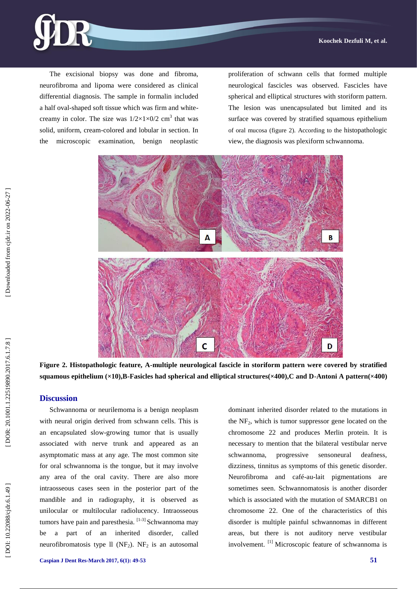

The excisional biopsy was done and fibroma, neurofibroma and lipoma were considered as clinical differential diagnosis. The sample in formalin included a half oval -shaped soft tissue which was firm and white creamy in color. The size was  $1/2 \times 1 \times 0/2$  cm<sup>3</sup> that was solid, uniform, cream -colored and lobular in section. In the microscopic examination, benign neoplastic

proliferation of schwann cells that formed multiple neurological fascicles was observed. Fascicle s have spherical and elliptical structures with storiform pattern. The lesion was unencapsulated but limited and its surface was covered by stratified squamous epithelium of oral mucosa (figure 2). According to the histopathologic view, the diagnosis was plexiform schwannoma.



**Figure 2 . Histopathologic feature, A -multiple neurological fascicle in storiform pattern were covered by stratified squamous epithelium (×10),B -Fasicles had spherical and elliptical structures(×400),C and D -Antoni A pattern(×400)**

#### **Discussion**

Schwannoma or neurilemoma is a benign neoplasm with neural origin derived from schwann cells. This is an encapsulated slow -growing tumor that is usually associated with nerve trunk and appeared as an asymptomatic mass at any age. The most common site for oral schwannoma is the tongue, but it may involve any area of the oral cavity. There are also more intraosseous cases seen in the posterior part of the mandible and in radiography, it is observed as unilocular or multilocular radiolucency. Intraosseous tumors have pain and paresthesia. [1-3] Schwannoma may be a part of an inherited disorder, called neurofibromatosis type  $ll$  (NF<sub>2</sub>). NF<sub>2</sub> is an autosomal dominant inherited disorder related to the mutations in the NF <sup>2</sup>, which is tumor suppressor gene located on the chromosome 22 and produces Merlin protein. It is necessary to mention that the bilateral vestibular nerve schwannoma, progressive sensoneural deafness, dizziness, tinnitus as symptoms of this genetic disorder. Neurofibroma and café -au -lait pigmentations are sometimes seen. Schwannomatosis is another disorder which is associated with the mutation of SMARCB1 on chromosome 22. One of the characteristics of this disorder is multiple painful schwannomas in different areas, but there is not auditory nerve vestibular involvement. [1] Microscopic feature of schwannoma is

DOI: 10.22088/cjdr.6.1.49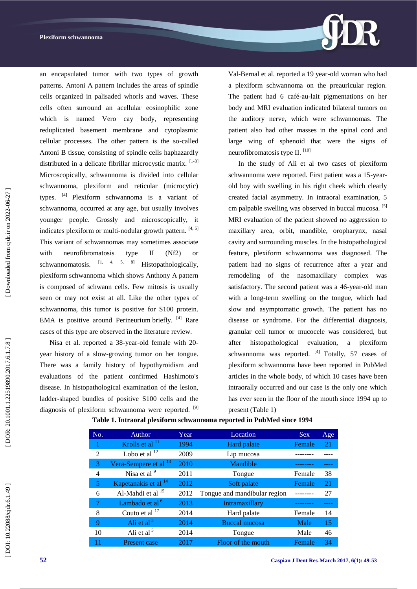

an encapsulated tumor with two types of growth patterns. Antoni A pattern includes the areas of spindle cells organized in palisaded whorls and waves. These cells often surround an acellular eosinophilic zone which is named Vero cay body, representing reduplicated basement membrane and cytoplasmic cellular processes. The other pattern is the so -called Antoni B tissue, consisting of spindle cells haphazardly distributed in a delicate fibrillar microcystic matrix. [1-3] Microscopically, schwannoma is divided into cellular schwannoma, plexiform and reticular (microcytic) types. [4] Plexiform schwannoma is a variant of schwannoma, occurred at any age, but usually involves younger people. Grossly and microscopically, it indicates plexiform or multi-nodular growth pattern. [4, 5] This variant of schwannomas may sometimes associate with neurofibromatosis type II (Nf2) or schwannomatosis.  $\begin{bmatrix} 1, & 4, & 5, & 8 \end{bmatrix}$  Histopathologically, plexiform schwannoma which shows Anthony A pattern is composed of schwann cells. Few mitosis is usually seen or may not exist at all. Like the other types of schwannoma, this tumor is positive for S100 protein. EMA is positive around Perineurium briefly. [4] Rare cases of this type are observed in the literature review.

Nisa et al. reported a 38 -year -old female with 20 year history of a slow -growing tumor on her tongue. There was a family history of hypothyroidism and evaluations of the patient confirmed Hashimoto's disease. In histopathological examination of the lesion, ladder -shaped bundles of positive S100 cells and the diagnosis of plexiform schwannoma were reported. <sup>[9]</sup>

Val -Bernal et al. reported a 19 year -old woman who had a plexiform schwannoma on the preauricular region. The patient had 6 café -au -lait pigmentations on her body and MRI evaluation indicated bilateral tumors on the auditory nerve, which were schwannomas. The patient also had other masses in the spinal cord and large wing of sphenoid that were the signs of neurofibromatosis type II. [10]

In the study of Ali et al two cases of plexiform schwannoma were reported. First patient was a 15-yearold boy with swelling in his right cheek which clearly created facial asymmetry. In intraoral examination, 5 cm palpable swelling was observed in buccal mucosa. [5] MRI evaluation of the patient showed no aggression to maxillary area, orbit, mandible, oropharynx, nasal cavity and surrounding muscles. In the histopathological feature, plexiform schwannoma was diagnosed. The patient had no signs of recurrence after a year and remodeling of the nasomaxillary complex was satisfactory. The second patient was a 46-year-old man with a long -term swelling on the tongue, which had slow and asymptomatic growth. The patient has no disease or syndrome. For the differential diagnosis, granular cell tumor or mucocele was considered, but after histopathological evaluation, a plexiform schwannoma was reported. <sup>[4]</sup> Totally, 57 cases of plexiform schwannoma have been reported in PubMed articles in the whole body, of which 10 cases have been intraorally occurred and our case is the only one which has ever seen in the floor of the mouth since 1994 up to present (Table 1)

| No. | Author                           | Year. | Location                     | <b>Sex</b> | Age |
|-----|----------------------------------|-------|------------------------------|------------|-----|
|     | Krolls et al $^{11}$             | 1994  | Hard palate                  | Female     | 21  |
| 2   | Lobo et al $^{12}$               | 2009  | Lip mucosa                   |            |     |
| 3   | Vera-Sempere et al <sup>13</sup> | 2010  | Mandible                     |            |     |
| 4   | Nisa et al <sup>9</sup>          | 2011  | Tongue                       | Female     | 38  |
| 5   | Kapetanakis et al <sup>14</sup>  | 2012  | Soft palate                  | Female     | 21  |
| 6   | Al-Mahdi et al <sup>15</sup>     | 2012  | Tongue and mandibular region |            | 27  |
| 7   | Lambado et al <sup>6</sup>       | 2013  | Intramaxillary               |            |     |
| 8   | Couto et al $^{17}$              | 2014  | Hard palate                  | Female     | 14  |
| 9   | Ali et al <sup>5</sup>           | 2014  | Buccal mucosa                | Male       | 15  |
| 10  | Ali et al $5$                    | 2014  | Tongue                       | Male       | 46  |
|     | Present case                     | 2017  | Floor of the mouth           | Female     | 34  |

#### **Table 1. Intraoral plexiform schwannoma reported in PubMed since 1994**